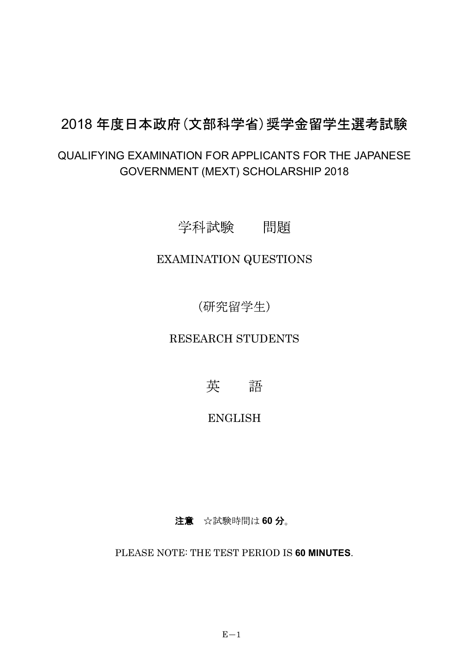# 2018年度日本政府(文部科学省)奨学金留学生選考試験

## QUALIFYING EXAMINATION FOR APPLICANTS FOR THE JAPANESE GOVERNMENT (MEXT) SCHOLARSHIP 2018

学科試験 問題

### EXAMINATION QUESTIONS

(研究留学生)

RESEARCH STUDENTS

英 語

### **ENGLISH**

注意 ☆試験時間は60分。

PLEASE NOTE: THE TEST PERIOD IS 60 MINUTES.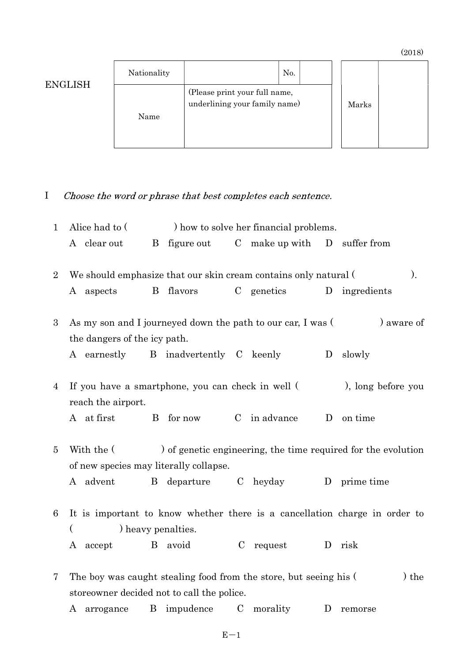(2018)

|                | Nationality | No.                                                            |       |  |
|----------------|-------------|----------------------------------------------------------------|-------|--|
| <b>ENGLISH</b> | Name        | (Please print your full name,<br>underlining your family name) | Marks |  |

#### Choose the word or phrase that best completes each sentence. I

| $\mathbf 1$    | Alice had to (<br>) how to solve her financial problems.                                                              |                                                   |                                                                   |                                                                            |  |  |
|----------------|-----------------------------------------------------------------------------------------------------------------------|---------------------------------------------------|-------------------------------------------------------------------|----------------------------------------------------------------------------|--|--|
|                | A clear out                                                                                                           |                                                   | B figure out C make up with D suffer from                         |                                                                            |  |  |
| $\overline{2}$ | $\mathcal{L}$<br>We should emphasize that our skin cream contains only natural (                                      |                                                   |                                                                   |                                                                            |  |  |
|                | A aspects                                                                                                             | B flavors                                         | C genetics                                                        | ingredients<br>D                                                           |  |  |
| 3              | ) aware of<br>As my son and I journeyed down the path to our car, I was (                                             |                                                   |                                                                   |                                                                            |  |  |
|                | the dangers of the icy path.                                                                                          |                                                   |                                                                   |                                                                            |  |  |
|                |                                                                                                                       | A earnestly B inadvertently C keenly              |                                                                   | slowly<br>D                                                                |  |  |
| 4              | reach the airport.                                                                                                    | If you have a smartphone, you can check in well ( |                                                                   | ), long before you                                                         |  |  |
|                | A at first                                                                                                            | B for now                                         | C in advance                                                      | D<br>on time                                                               |  |  |
| 5              | ) of genetic engineering, the time required for the evolution<br>With the (<br>of new species may literally collapse. |                                                   |                                                                   |                                                                            |  |  |
|                | A advent                                                                                                              | $\mathbf{B}$                                      | departure C heyday                                                | D prime time                                                               |  |  |
| 6              | $\overline{(}$                                                                                                        | ) heavy penalties.                                |                                                                   | It is important to know whether there is a cancellation charge in order to |  |  |
|                | A accept                                                                                                              | avoid<br>$\mathbf{B}$                             | C request                                                         | risk<br>D                                                                  |  |  |
| 7              |                                                                                                                       | storeowner decided not to call the police.        | The boy was caught stealing food from the store, but seeing his ( | $)$ the                                                                    |  |  |
|                |                                                                                                                       | A arrogance B impudence                           | $\mathcal{C}$<br>morality                                         | D<br>remorse                                                               |  |  |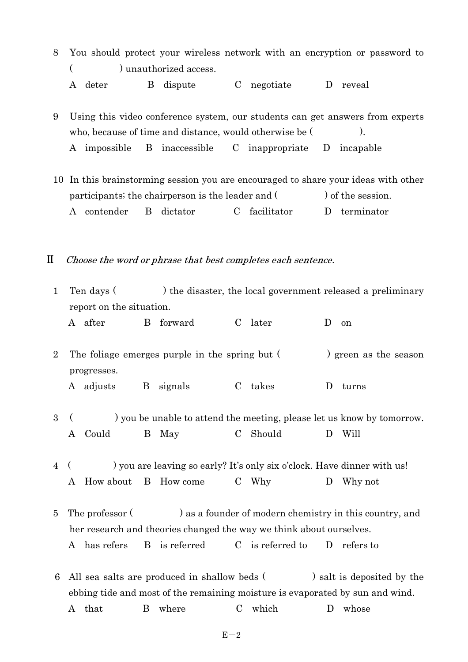- 8 You should protect your wireless network with an encryption or password to ( ) unauthorized access. A deter B dispute C negotiate D reveal
- 9 Using this video conference system, our students can get answers from experts who, because of time and distance, would otherwise be  $($ ). A impossible B inaccessible C inappropriate D incapable
- 10 In this brainstorming session you are encouraged to share your ideas with other participants; the chairperson is the leader and  $($ ) of the session. A contender B dictator C facilitator D terminator
- $\mathbf{I}$ Choose the word or phrase that best completes each sentence.

| $\mathbf{1}$   |                                                                                                                                                                                                                 | Ten days (<br>) the disaster, the local government released a preliminary |               |         |   |                                                                        |  |  |
|----------------|-----------------------------------------------------------------------------------------------------------------------------------------------------------------------------------------------------------------|---------------------------------------------------------------------------|---------------|---------|---|------------------------------------------------------------------------|--|--|
|                |                                                                                                                                                                                                                 | report on the situation.                                                  |               |         |   |                                                                        |  |  |
|                | A after                                                                                                                                                                                                         | B forward                                                                 | $\mathbf C$   | later   | D | on                                                                     |  |  |
| $\overline{2}$ | The foliage emerges purple in the spring but (<br>progresses.                                                                                                                                                   |                                                                           |               |         |   | ) green as the season                                                  |  |  |
|                | A adjusts                                                                                                                                                                                                       | B signals                                                                 | $\mathcal{C}$ | takes   | D | turns                                                                  |  |  |
| 3              |                                                                                                                                                                                                                 |                                                                           |               |         |   | ) you be unable to attend the meeting, please let us know by tomorrow. |  |  |
|                | Could<br>B<br>A                                                                                                                                                                                                 | May                                                                       | $\mathbf C$   | Should  | D | Will                                                                   |  |  |
| $\overline{4}$ |                                                                                                                                                                                                                 | ) you are leaving so early? It's only six o'clock. Have dinner with us!   |               |         |   |                                                                        |  |  |
|                | How about<br>A                                                                                                                                                                                                  | B How come                                                                |               | $C$ Why | D | Why not                                                                |  |  |
| 5              | The professor (<br>) as a founder of modern chemistry in this country, and<br>her research and theories changed the way we think about ourselves.<br>B is referred C is referred to D refers to<br>A has refers |                                                                           |               |         |   |                                                                        |  |  |
|                |                                                                                                                                                                                                                 |                                                                           |               |         |   |                                                                        |  |  |
|                | 6 All sea salts are produced in shallow beds (                                                                                                                                                                  |                                                                           |               |         |   | ) salt is deposited by the                                             |  |  |

ebbing tide and most of the remaining moisture is evaporated by sun and wind.

A that B where C which D whose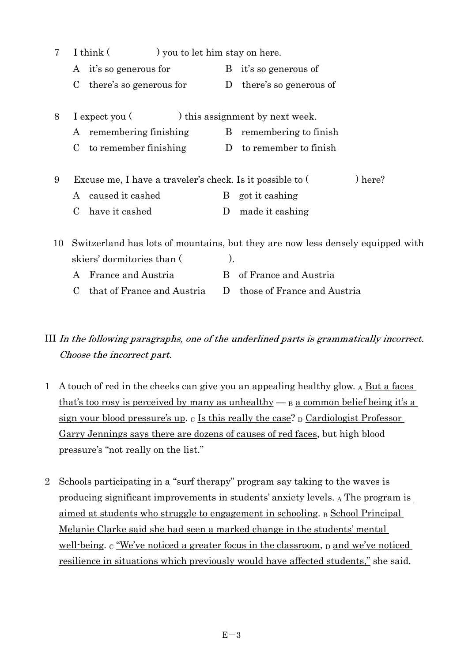| 7  |             | I think (                                                 | ) you to let him stay on here. |                                                                                |  |  |
|----|-------------|-----------------------------------------------------------|--------------------------------|--------------------------------------------------------------------------------|--|--|
|    |             | A it's so generous for                                    |                                | B it's so generous of                                                          |  |  |
|    | C           | there's so generous for                                   |                                | D there's so generous of                                                       |  |  |
| 8  |             | I expect you (                                            |                                | ) this assignment by next week.                                                |  |  |
|    |             | A remembering finishing                                   | B.                             | remembering to finish                                                          |  |  |
|    | $\mathbf C$ | to remember finishing                                     |                                | D to remember to finish                                                        |  |  |
| 9  |             | Excuse me, I have a traveler's check. Is it possible to ( |                                | ) here?                                                                        |  |  |
|    |             | A caused it cashed                                        | B                              | got it cashing                                                                 |  |  |
|    |             | have it cashed                                            | D                              | made it cashing                                                                |  |  |
| 10 |             |                                                           |                                | Switzerland has lots of mountains, but they are now less densely equipped with |  |  |
|    |             | skiers' dormitories than (                                | ).                             |                                                                                |  |  |
|    |             | A France and Austria                                      |                                | B of France and Austria                                                        |  |  |

C that of France and Austria D those of France and Austria

III In the following paragraphs, one of the underlined parts is grammatically incorrect. Choose the incorrect part.

- 1 A touch of red in the cheeks can give you an appealing healthy glow. A But a faces that's too rosy is perceived by many as unhealthy  $\beta$  a common belief being it's a sign your blood pressure's up.  $C$  Is this really the case?  $D$  Cardiologist Professor Garry Jennings says there are dozens of causes of red faces, but high blood pressure's "not really on the list."
- 2 Schools participating in a "surf therapy" program say taking to the waves is producing significant improvements in students' anxiety levels. A The program is aimed at students who struggle to engagement in schooling. B School Principal Melanie Clarke said she had seen a marked change in the students' mental well-being. C We've noticed a greater focus in the classroom, p and we've noticed resilience in situations which previously would have affected students," she said.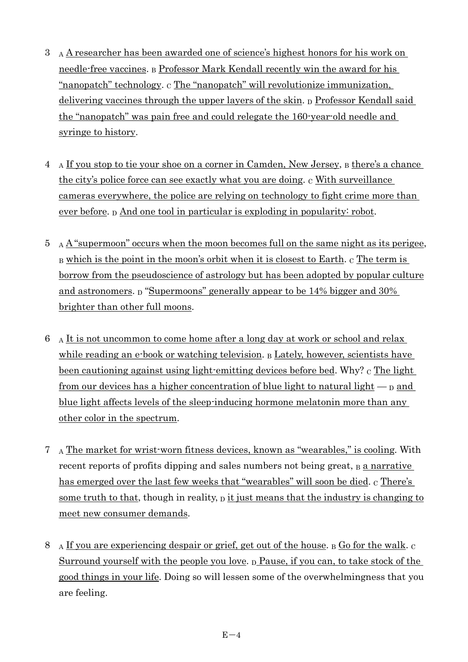- 3 A A researcher has been awarded one of science's highest honors for his work on needle-free vaccines. B Professor Mark Kendall recently win the award for his "nanopatch" technology. C The "nanopatch" will revolutionize immunization, delivering vaccines through the upper layers of the skin.  $<sub>D</sub>$  Professor Kendall said</sub> the "nanopatch" was pain free and could relegate the 160-year-old needle and syringe to history.
- 4 A If you stop to tie your shoe on a corner in Camden, New Jersey, B there's a chance the city's police force can see exactly what you are doing. c With surveillance cameras everywhere, the police are relying on technology to fight crime more than ever before.  $D$  And one tool in particular is exploding in popularity: robot.
- $5$  A  $\AA$  "supermoon" occurs when the moon becomes full on the same night as its perigee,  $B$  which is the point in the moon's orbit when it is closest to Earth.  $C$  The term is borrow from the pseudoscience of astrology but has been adopted by popular culture and astronomers.  $\beta$  "Supermoons" generally appear to be 14% bigger and 30% brighter than other full moons.
- $6$  A It is not uncommon to come home after a long day at work or school and relax while reading an e-book or watching television. B Lately, however, scientists have been cautioning against using light-emitting devices before bed. Why?  $\mathbf c$  The light from our devices has a higher concentration of blue light to natural light  $-$  p and blue light affects levels of the sleep-inducing hormone melatonin more than any other color in the spectrum.
- $7 \text{ A}$  The market for wrist-worn fitness devices, known as "wearables," is cooling. With recent reports of profits dipping and sales numbers not being great, B a narrative has emerged over the last few weeks that "wearables" will soon be died.  $\alpha$  There's some truth to that, though in reality,  $\bar{p}$  it just means that the industry is changing to meet new consumer demands.
- 8 A If you are experiencing despair or grief, get out of the house.  $\beta$  Go for the walk. C Surround yourself with the people you love.  $D$  Pause, if you can, to take stock of the good things in your life. Doing so will lessen some of the overwhelmingness that you are feeling.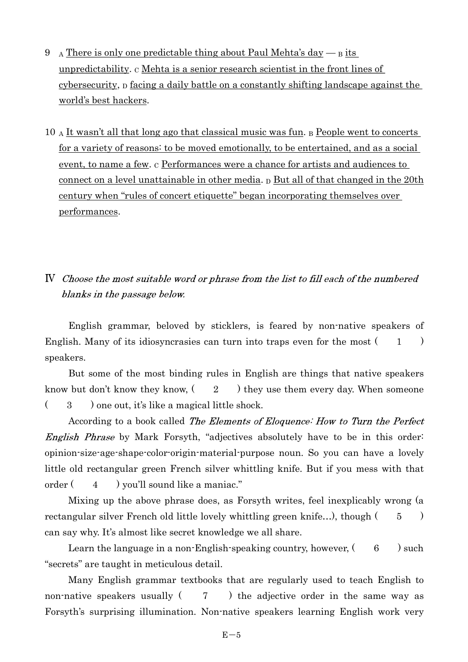- 9 A There is only one predictable thing about Paul Mehta's day  $-$  B its unpredictability.  $\alpha$  Mehta is a senior research scientist in the front lines of cybersecurity,  $\beta$  facing a daily battle on a constantly shifting landscape against the world's best hackers.
- 10 A It wasn't all that long ago that classical music was fun. B People went to concerts for a variety of reasons: to be moved emotionally, to be entertained, and as a social event, to name a few. c Performances were a chance for artists and audiences to connect on a level unattainable in other media.  $D$  But all of that changed in the 20th century when "rules of concert etiquette" began incorporating themselves over performances.

#### IV Choose the most suitable word or phrase from the list to fill each of the numbered blanks in the passage below.

English grammar, beloved by sticklers, is feared by non-native speakers of English. Many of its idiosyncrasies can turn into traps even for the most  $(1)$ speakers.

But some of the most binding rules in English are things that native speakers know but don't know they know,  $(2)$  they use them every day. When someone  $(3)$  one out, it's like a magical little shock.

According to a book called The Elements of Eloquence: How to Turn the Perfect *English Phrase* by Mark Forsyth, "adjectives absolutely have to be in this order: opinion-size-age-shape-color-origin-material-purpose noun. So you can have a lovely little old rectangular green French silver whittling knife. But if you mess with that order  $(4)$  you'll sound like a maniac."

Mixing up the above phrase does, as Forsyth writes, feel inexplicably wrong (a rectangular silver French old little lovely whittling green knife...), though  $(5 \t 5)$ can say why. It's almost like secret knowledge we all share.

Learn the language in a non-English-speaking country, however,  $(6)$  such "secrets" are taught in meticulous detail.

Many English grammar textbooks that are regularly used to teach English to non-native speakers usually  $(7)$  the adjective order in the same way as Forsyth's surprising illumination. Non-native speakers learning English work very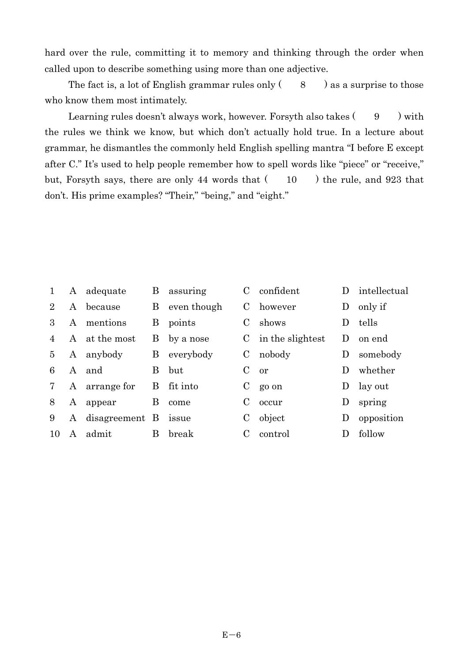hard over the rule, committing it to memory and thinking through the order when called upon to describe something using more than one adjective.

The fact is, a lot of English grammar rules only  $( 8 )$  as a surprise to those who know them most intimately.

Learning rules doesn't always work, however. For syth also takes  $(9 \cdot)$  with the rules we think we know, but which don't actually hold true. In a lecture about grammar, he dismantles the commonly held English spelling mantra "I before E except after C." It's used to help people remember how to spell words like "piece" or "receive," but, Forsyth says, there are only 44 words that ( 10 ) the rule, and 923 that don't. His prime examples? "Their," "being," and "eight."

| $\mathbf{1}$   | A            | adequate       | B        | assuring    | $\mathbf C$ | confident            | $\mathbf{D}$   | intellectual |
|----------------|--------------|----------------|----------|-------------|-------------|----------------------|----------------|--------------|
| $\overline{2}$ | A            | because        | B        | even though | C           | however              | D              | only if      |
| 3              | A            | mentions       | B        | points      | $\mathbf C$ | shows                | $\mathbf{D}$   | tells        |
| 4              | $\mathsf{A}$ | at the most    | Β        | by a nose   |             | $C$ in the slightest | $\mathbf{D}$   | on end       |
| 5              | A            | anybody        | B        | everybody   | C           | nobody               | $\mathbf{D}$   | somebody     |
| 6              | $\mathsf{A}$ | and            | $\bf{B}$ | but         | $\mathbf C$ | or                   | $\blacksquare$ | whether      |
| 7              |              | A arrange for  | B        | fit into    | C           | go on                | D              | lay out      |
| 8              | A            | appear         | B        | come        | $\mathbf C$ | occur                | D              | spring       |
| 9              | A            | disagreement B |          | issue       | C           | object               | $\Box$         | opposition   |
| 10             | A            | admit          | B        | break       |             | control              |                | follow       |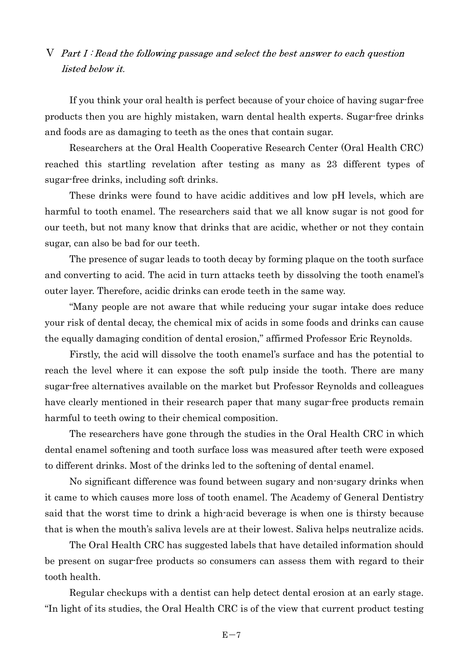V Part I: Read the following passage and select the best answer to each question *listed below it.* 

If you think your oral health is perfect because of your choice of having sugar-free products then you are highly mistaken, warn dental health experts. Sugar-free drinks and foods are as damaging to teeth as the ones that contain sugar.

Researchers at the Oral Health Cooperative Research Center (Oral Health CRC) reached this startling revelation after testing as many as 23 different types of sugar-free drinks, including soft drinks.

These drinks were found to have acidic additives and low pH levels, which are harmful to tooth enamel. The researchers said that we all know sugar is not good for our teeth, but not many know that drinks that are acidic, whether or not they contain sugar, can also be bad for our teeth.

The presence of sugar leads to tooth decay by forming plaque on the tooth surface and converting to acid. The acid in turn attacks teeth by dissolving the tooth enamel's outer layer. Therefore, acidic drinks can erode teeth in the same way.

Many people are not aware that while reducing your sugar intake does reduce your risk of dental decay, the chemical mix of acids in some foods and drinks can cause the equally damaging condition of dental erosion," affirmed Professor Eric Reynolds.

Firstly, the acid will dissolve the tooth enamel's surface and has the potential to reach the level where it can expose the soft pulp inside the tooth. There are many sugar-free alternatives available on the market but Professor Reynolds and colleagues have clearly mentioned in their research paper that many sugar-free products remain harmful to teeth owing to their chemical composition.

The researchers have gone through the studies in the Oral Health CRC in which dental enamel softening and tooth surface loss was measured after teeth were exposed to different drinks. Most of the drinks led to the softening of dental enamel.

No significant difference was found between sugary and non-sugary drinks when it came to which causes more loss of tooth enamel. The Academy of General Dentistry said that the worst time to drink a high-acid beverage is when one is thirsty because that is when the mouth's saliva levels are at their lowest. Saliva helps neutralize acids.

The Oral Health CRC has suggested labels that have detailed information should be present on sugar-free products so consumers can assess them with regard to their tooth health.

Regular checkups with a dentist can help detect dental erosion at an early stage. In light of its studies, the Oral Health CRC is of the view that current product testing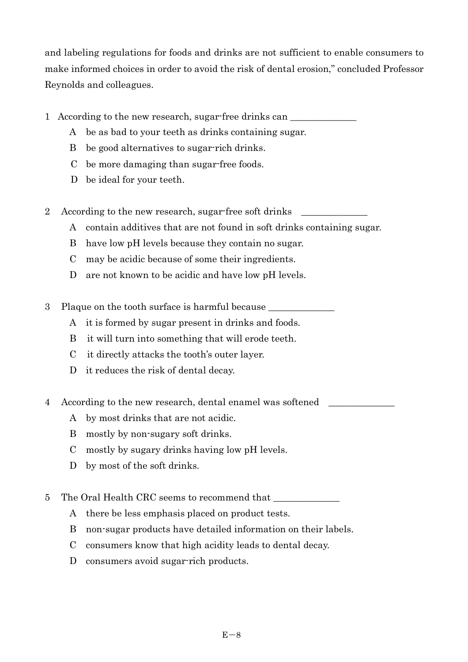and labeling regulations for foods and drinks are not sufficient to enable consumers to make informed choices in order to avoid the risk of dental erosion," concluded Professor Reynolds and colleagues.

- 1 According to the new research, sugar-free drinks can
	- A be as bad to your teeth as drinks containing sugar.
	- B be good alternatives to sugar-rich drinks.
	- C be more damaging than sugar-free foods.
	- D be ideal for your teeth.
- 2 According to the new research, sugar-free soft drinks
	- A contain additives that are not found in soft drinks containing sugar.
	- B have low pH levels because they contain no sugar.
	- C may be acidic because of some their ingredients.
	- D are not known to be acidic and have low pH levels.
- 3 Plaque on the tooth surface is harmful because
	- A it is formed by sugar present in drinks and foods.
	- B it will turn into something that will erode teeth.
	- $C$  it directly attacks the tooth's outer layer.
	- D it reduces the risk of dental decay.
- 4 According to the new research, dental enamel was softened
	- A by most drinks that are not acidic.
	- B mostly by non-sugary soft drinks.
	- C mostly by sugary drinks having low pH levels.
	- D by most of the soft drinks.
- 5 The Oral Health CRC seems to recommend that
	- A there be less emphasis placed on product tests.
	- B non-sugar products have detailed information on their labels.
	- C consumers know that high acidity leads to dental decay.
	- D consumers avoid sugar-rich products.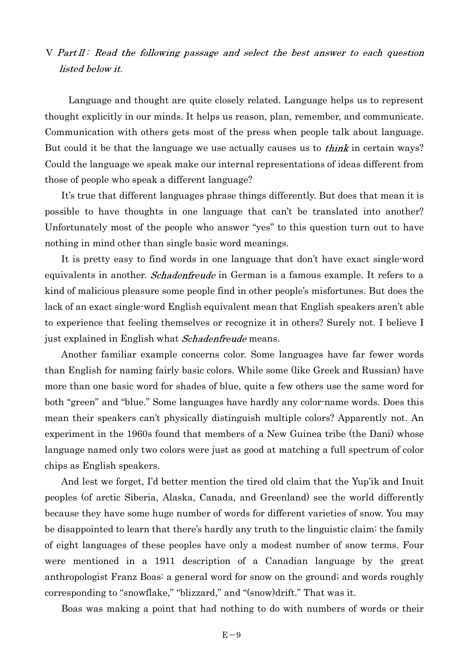$V$  Part II: Read the following passage and select the best answer to each question *listed below it.* 

 Language and thought are quite closely related. Language helps us to represent thought explicitly in our minds. It helps us reason, plan, remember, and communicate. Communication with others gets most of the press when people talk about language. But could it be that the language we use actually causes us to *think* in certain ways? Could the language we speak make our internal representations of ideas different from those of people who speak a different language?

It's true that different languages phrase things differently. But does that mean it is possible to have thoughts in one language that can't be translated into another? Unfortunately most of the people who answer "yes" to this question turn out to have nothing in mind other than single basic word meanings.

It is pretty easy to find words in one language that don't have exact single-word equivalents in another. *Schadenfreude* in German is a famous example. It refers to a kind of malicious pleasure some people find in other people's misfortunes. But does the lack of an exact single-word English equivalent mean that English speakers aren't able to experience that feeling themselves or recognize it in others? Surely not. I believe I just explained in English what Schadenfreude means.

 Another familiar example concerns color. Some languages have far fewer words than English for naming fairly basic colors. While some (like Greek and Russian) have more than one basic word for shades of blue, quite a few others use the same word for both "green" and "blue." Some languages have hardly any color-name words. Does this mean their speakers can't physically distinguish multiple colors? Apparently not. An experiment in the 1960s found that members of a New Guinea tribe (the Dani) whose language named only two colors were just as good at matching a full spectrum of color chips as English speakers.

And lest we forget, I'd better mention the tired old claim that the Yup'ik and Inuit peoples (of arctic Siberia, Alaska, Canada, and Greenland) see the world differently because they have some huge number of words for different varieties of snow. You may be disappointed to learn that there's hardly any truth to the linguistic claim: the family of eight languages of these peoples have only a modest number of snow terms. Four were mentioned in a 1911 description of a Canadian language by the great anthropologist Franz Boas: a general word for snow on the ground; and words roughly corresponding to "snowflake," "blizzard," and "(snow)drift." That was it.

Boas was making a point that had nothing to do with numbers of words or their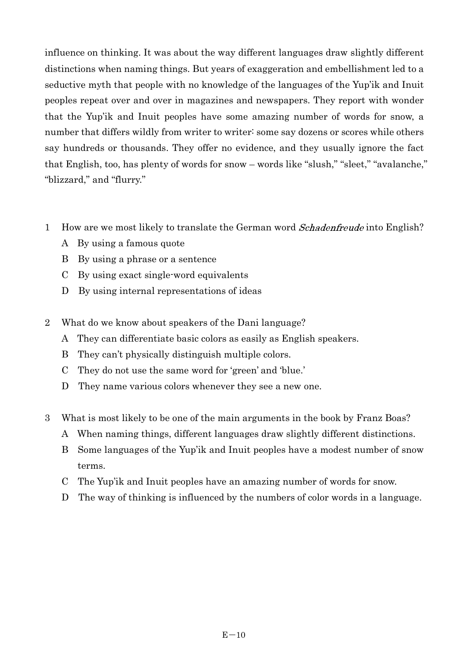influence on thinking. It was about the way different languages draw slightly different distinctions when naming things. But years of exaggeration and embellishment led to a seductive myth that people with no knowledge of the languages of the Yup'ik and Inuit peoples repeat over and over in magazines and newspapers. They report with wonder that the Yupik and Inuit peoples have some amazing number of words for snow, a number that differs wildly from writer to writer: some say dozens or scores while others say hundreds or thousands. They offer no evidence, and they usually ignore the fact that English, too, has plenty of words for snow – words like "slush," "sleet," "avalanche," "blizzard," and "flurry."

- 1 How are we most likely to translate the German word *Schadenfreude* into English?
	- A By using a famous quote
	- B By using a phrase or a sentence
	- C By using exact single-word equivalents
	- D By using internal representations of ideas
- 2 What do we know about speakers of the Dani language?
	- A They can differentiate basic colors as easily as English speakers.
	- B They can't physically distinguish multiple colors.
	- C They do not use the same word for 'green' and 'blue.'
	- D They name various colors whenever they see a new one.
- 3 What is most likely to be one of the main arguments in the book by Franz Boas?
	- A When naming things, different languages draw slightly different distinctions.
	- B Some languages of the Yupik and Inuit peoples have a modest number of snow terms.
	- C The Yupik and Inuit peoples have an amazing number of words for snow.
	- D The way of thinking is influenced by the numbers of color words in a language.